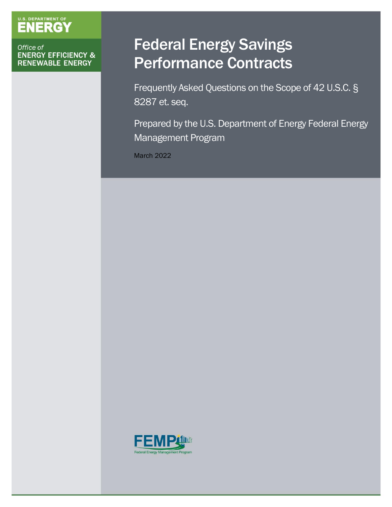# U.S. DEPARTMENT OF

Office of **ENERGY EFFICIENCY & RENEWABLE ENERGY** 

## Federal Energy Savings Performance Contracts

 Frequently Asked Questions on the Scope of 42 U.S.C. § 8287 et. seq.

 Prepared by the U.S. Department of Energy Federal Energy Management Program

March 2022

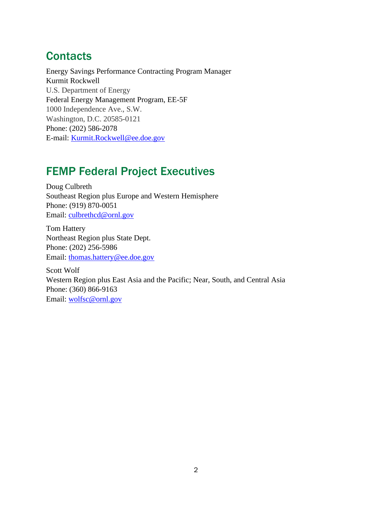### **Contacts**

Energy Savings Performance Contracting Program Manager Kurmit Rockwell U.S. Department of Energy Federal Energy Management Program, EE-5F 1000 Independence Ave., S.W. Washington, D.C. 20585-0121 Phone: (202) 586-2078 E-mail: [Kurmit.Rockwell@ee.doe.gov](mailto:Kurmit.Rockwell@ee.doe.gov) 

### FEMP Federal Project Executives

Doug Culbreth Southeast Region plus Europe and Western Hemisphere Phone: (919) 870-0051 Email: [culbrethcd@ornl.gov](mailto:culbrethcd@ornl.gov) 

Tom Hattery Northeast Region plus State Dept. Phone: (202) 256-5986 Email: [thomas.hattery@ee.doe.gov](file:///C:/Users/Sarah.Butler/AppData/Local/Microsoft/Windows/INetCache/Content.Outlook/DH708074/thomas.hattery@ee.doe.gov) 

Scott Wolf Western Region plus East Asia and the Pacific; Near, South, and Central Asia Phone: (360) 866-9163 Email: [wolfsc@ornl.gov](file:///C:/Users/Sarah.Butler/AppData/Local/Microsoft/Windows/INetCache/Content.Outlook/DH708074/wolfsc@ornl.gov)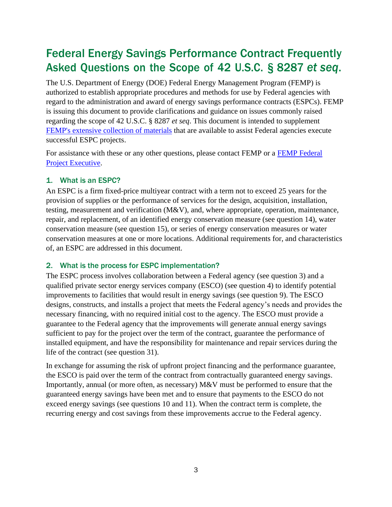## Federal Energy Savings Performance Contract Frequently Asked Questions on the Scope of 42 U.S.C. § 8287 *et seq*.

The U.S. Department of Energy (DOE) Federal Energy Management Program (FEMP) is authorized to establish appropriate procedures and methods for use by Federal agencies with regard to the administration and award of energy savings performance contracts (ESPCs). FEMP is issuing this document to provide clarifications and guidance on issues commonly raised regarding the scope of 42 U.S.C. § 8287 *et seq*. This document is intended to supplement [FEMP's extensive collection of materials t](http://energy.gov/eere/femp/resources-implementing-federal-energy-savings-performance-contracts)hat are available to assist Federal agencies execute successful ESPC projects.

For assistance with these or any other questions, please contact FEMP or a [FEMP Federal](https://www.energy.gov/eere/femp/federal-project-executives-espc-uesc-and-espc-enable-projects)  [Project Executive.](https://www.energy.gov/eere/femp/federal-project-executives-espc-uesc-and-espc-enable-projects)

#### 1. What is an ESPC?

An ESPC is a firm fixed-price multiyear contract with a term not to exceed 25 years for the provision of supplies or the performance of services for the design, acquisition, installation, testing, measurement and verification (M&V), and, where appropriate, operation, maintenance, repair, and replacement, of an identified energy conservation measure (see question 14), water conservation measure (see question 15), or series of energy conservation measures or water conservation measures at one or more locations. Additional requirements for, and characteristics of, an ESPC are addressed in this document.

#### 2. What is the process for ESPC implementation?

The ESPC process involves collaboration between a Federal agency (see question 3) and a qualified private sector energy services company (ESCO) (see question 4) to identify potential improvements to facilities that would result in energy savings (see question 9). The ESCO designs, constructs, and installs a project that meets the Federal agency's needs and provides the necessary financing, with no required initial cost to the agency. The ESCO must provide a guarantee to the Federal agency that the improvements will generate annual energy savings sufficient to pay for the project over the term of the contract, guarantee the performance of installed equipment, and have the responsibility for maintenance and repair services during the life of the contract (see question 31).

In exchange for assuming the risk of upfront project financing and the performance guarantee, the ESCO is paid over the term of the contract from contractually guaranteed energy savings. Importantly, annual (or more often, as necessary) M&V must be performed to ensure that the guaranteed energy savings have been met and to ensure that payments to the ESCO do not exceed energy savings (see questions 10 and 11). When the contract term is complete, the recurring energy and cost savings from these improvements accrue to the Federal agency.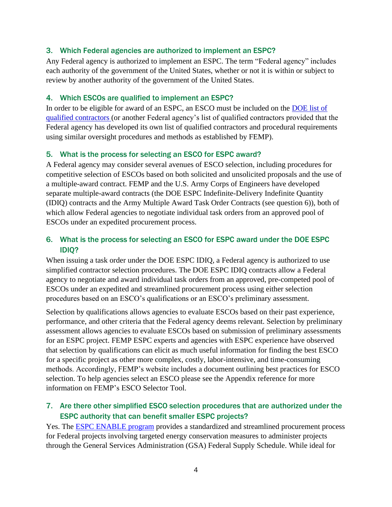#### 3. Which Federal agencies are authorized to implement an ESPC?

Any Federal agency is authorized to implement an ESPC. The term "Federal agency" includes each authority of the government of the United States, whether or not it is within or subject to review by another authority of the government of the United States.

#### 4. Which ESCOs are qualified to implement an ESPC?

[qualified contractors \(](http://energy.gov/eere/downloads/department-energy-qualified-list-energy-service-companies)or another Federal agency's list of qualified contractors provided that the In order to be eligible for award of an ESPC, an ESCO must be included on the **DOE** list of Federal agency has developed its own list of qualified contractors and procedural requirements using similar oversight procedures and methods as established by FEMP).

#### 5. What is the process for selecting an ESCO for ESPC award?

A Federal agency may consider several avenues of ESCO selection, including procedures for competitive selection of ESCOs based on both solicited and unsolicited proposals and the use of a multiple-award contract. FEMP and the U.S. Army Corps of Engineers have developed separate multiple-award contracts (the DOE ESPC Indefinite-Delivery Indefinite Quantity (IDIQ) contracts and the Army Multiple Award Task Order Contracts (see question 6)), both of which allow Federal agencies to negotiate individual task orders from an approved pool of ESCOs under an expedited procurement process.

#### 6. What is the process for selecting an ESCO for ESPC award under the DOE ESPC IDIQ?

When issuing a task order under the DOE ESPC IDIQ, a Federal agency is authorized to use simplified contractor selection procedures. The DOE ESPC IDIQ contracts allow a Federal agency to negotiate and award individual task orders from an approved, pre-competed pool of ESCOs under an expedited and streamlined procurement process using either selection procedures based on an ESCO's qualifications or an ESCO's preliminary assessment.

Selection by qualifications allows agencies to evaluate ESCOs based on their past experience, performance, and other criteria that the Federal agency deems relevant. Selection by preliminary assessment allows agencies to evaluate ESCOs based on submission of preliminary assessments for an ESPC project. FEMP ESPC experts and agencies with ESPC experience have observed that selection by qualifications can elicit as much useful information for finding the best ESCO for a specific project as other more complex, costly, labor-intensive, and time-consuming methods. Accordingly, FEMP's website includes a document outlining best practices for ESCO selection. To help agencies select an ESCO please see the Appendix reference for more information on FEMP's ESCO Selector Tool.

#### 7. Are there other simplified ESCO selection procedures that are authorized under the ESPC authority that can benefit smaller ESPC projects?

Yes. The [ESPC ENABLE program](https://www.energy.gov/eere/femp/energy-savings-performance-contract-enable-federal-projects) provides a standardized and streamlined procurement process for Federal projects involving targeted energy conservation measures to administer projects through the General Services Administration (GSA) Federal Supply Schedule. While ideal for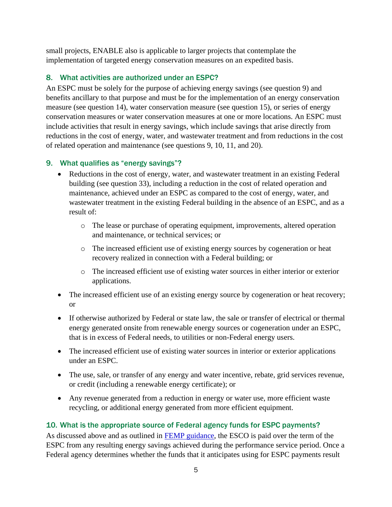small projects, ENABLE also is applicable to larger projects that contemplate the implementation of targeted energy conservation measures on an expedited basis.

#### 8. What activities are authorized under an ESPC?

An ESPC must be solely for the purpose of achieving energy savings (see question 9) and benefits ancillary to that purpose and must be for the implementation of an energy conservation measure (see question 14), water conservation measure (see question 15), or series of energy conservation measures or water conservation measures at one or more locations. An ESPC must include activities that result in energy savings, which include savings that arise directly from reductions in the cost of energy, water, and wastewater treatment and from reductions in the cost of related operation and maintenance (see questions 9, 10, 11, and 20).

#### 9. What qualifies as "energy savings"?

- Reductions in the cost of energy, water, and wastewater treatment in an existing Federal building (see question 33), including a reduction in the cost of related operation and maintenance, achieved under an ESPC as compared to the cost of energy, water, and wastewater treatment in the existing Federal building in the absence of an ESPC, and as a result of:
	- o The lease or purchase of operating equipment, improvements, altered operation and maintenance, or technical services; or
	- o The increased efficient use of existing energy sources by cogeneration or heat recovery realized in connection with a Federal building; or
	- o The increased efficient use of existing water sources in either interior or exterior applications.
- The increased efficient use of an existing energy source by cogeneration or heat recovery; or
- If otherwise authorized by Federal or state law, the sale or transfer of electrical or thermal energy generated onsite from renewable energy sources or cogeneration under an ESPC, that is in excess of Federal needs, to utilities or non-Federal energy users.
- The increased efficient use of existing water sources in interior or exterior applications under an ESPC.
- The use, sale, or transfer of any energy and water incentive, rebate, grid services revenue, or credit (including a renewable energy certificate); or
- Any revenue generated from a reduction in energy or water use, more efficient waste recycling, or additional energy generated from more efficient equipment.

#### 10. What is the appropriate source of Federal agency funds for ESPC payments?

As discussed above and as outlined in **FEMP** guidance, the ESCO is paid over the term of the ESPC from any resulting energy savings achieved during the performance service period. Once a Federal agency determines whether the funds that it anticipates using for ESPC payments result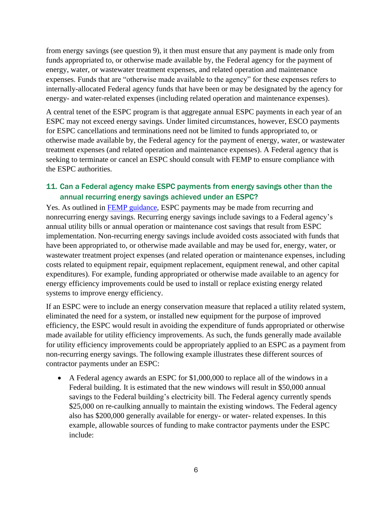from energy savings (see question 9), it then must ensure that any payment is made only from funds appropriated to, or otherwise made available by, the Federal agency for the payment of energy, water, or wastewater treatment expenses, and related operation and maintenance expenses. Funds that are "otherwise made available to the agency" for these expenses refers to internally-allocated Federal agency funds that have been or may be designated by the agency for energy- and water-related expenses (including related operation and maintenance expenses).

A central tenet of the ESPC program is that aggregate annual ESPC payments in each year of an ESPC may not exceed energy savings. Under limited circumstances, however, ESCO payments for ESPC cancellations and terminations need not be limited to funds appropriated to, or otherwise made available by, the Federal agency for the payment of energy, water, or wastewater treatment expenses (and related operation and maintenance expenses). A Federal agency that is seeking to terminate or cancel an ESPC should consult with FEMP to ensure compliance with the ESPC authorities.

#### 11. Can a Federal agency make ESPC payments from energy savings other than the annual recurring energy savings achieved under an ESPC?

Yes. As outlined in [FEMP guidance,](https://www.energy.gov/sites/default/files/2013/10/f3/practguide_sav_paymnts.pdf) ESPC payments may be made from recurring and nonrecurring energy savings. Recurring energy savings include savings to a Federal agency's annual utility bills or annual operation or maintenance cost savings that result from ESPC implementation. Non-recurring energy savings include avoided costs associated with funds that have been appropriated to, or otherwise made available and may be used for, energy, water, or wastewater treatment project expenses (and related operation or maintenance expenses, including costs related to equipment repair, equipment replacement, equipment renewal, and other capital expenditures). For example, funding appropriated or otherwise made available to an agency for energy efficiency improvements could be used to install or replace existing energy related systems to improve energy efficiency.

If an ESPC were to include an energy conservation measure that replaced a utility related system, eliminated the need for a system, or installed new equipment for the purpose of improved efficiency, the ESPC would result in avoiding the expenditure of funds appropriated or otherwise made available for utility efficiency improvements. As such, the funds generally made available for utility efficiency improvements could be appropriately applied to an ESPC as a payment from non-recurring energy savings. The following example illustrates these different sources of contractor payments under an ESPC:

• A Federal agency awards an ESPC for \$1,000,000 to replace all of the windows in a Federal building. It is estimated that the new windows will result in \$50,000 annual savings to the Federal building's electricity bill. The Federal agency currently spends \$25,000 on re-caulking annually to maintain the existing windows. The Federal agency also has \$200,000 generally available for energy- or water- related expenses. In this example, allowable sources of funding to make contractor payments under the ESPC include: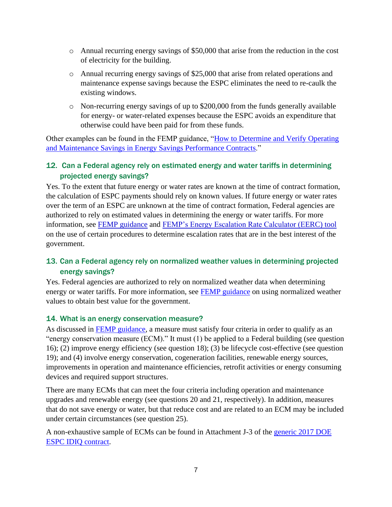- o Annual recurring energy savings of \$50,000 that arise from the reduction in the cost of electricity for the building.
- o Annual recurring energy savings of \$25,000 that arise from related operations and maintenance expense savings because the ESPC eliminates the need to re-caulk the existing windows.
- o Non-recurring energy savings of up to \$200,000 from the funds generally available for energy- or water-related expenses because the ESPC avoids an expenditure that otherwise could have been paid for from these funds.

Other examples can be found in the FEMP guidance, ["How to Determine and Verify Operating](https://www.energy.gov/sites/prod/files/2018/03/f49/om_savings_guidance.pdf)  [and Maintenance Savings in Energy Savings Performance Contracts.](https://www.energy.gov/sites/prod/files/2018/03/f49/om_savings_guidance.pdf)"

#### 12. Can a Federal agency rely on estimated energy and water tariffs in determining projected energy savings?

Yes. To the extent that future energy or water rates are known at the time of contract formation, the calculation of ESPC payments should rely on known values. If future energy or water rates over the term of an ESPC are unknown at the time of contract formation, Federal agencies are authorized to rely on estimated values in determining the energy or water tariffs. For more information, see [FEMP guidance a](https://www.energy.gov/sites/prod/files/2019/02/f60/femp_escalation_guidance_2019.pdf)nd [FEMP's Energy Escalation Rate Calculator \(EERC\) tool](http://energy.gov/eere/femp/energy-escalation-rate-calculator-download)  on the use of certain procedures to determine escalation rates that are in the best interest of the government.

#### 13. Can a Federal agency rely on normalized weather values in determining projected energy savings?

Yes. Federal agencies are authorized to rely on normalized weather data when determining energy or water tariffs. For more information, see **FEMP** guidance on using normalized weather values to obtain best value for the government.

#### 14. What is an energy conservation measure?

As discussed in [FEMP guidance,](https://www.energy.gov/sites/prod/files/2013/10/f3/espc_ecm_bundling_guidance.pdf) a measure must satisfy four criteria in order to qualify as an "energy conservation measure (ECM)." It must (1) be applied to a Federal building (see question 16); (2) improve energy efficiency (see question 18); (3) be lifecycle cost-effective (see question 19); and (4) involve energy conservation, cogeneration facilities, renewable energy sources, improvements in operation and maintenance efficiencies, retrofit activities or energy consuming devices and required support structures.

There are many ECMs that can meet the four criteria including operation and maintenance upgrades and renewable energy (see questions 20 and 21, respectively). In addition, measures that do not save energy or water, but that reduce cost and are related to an ECM may be included under certain circumstances (see question 25).

A non-exhaustive sample of ECMs can be found in Attachment J-3 of the [generic 2017 DOE](https://www.energy.gov/sites/default/files/2019/05/f63/2017_generic_doe_idiq_espc_contract.pdf)  [ESPC IDIQ contract.](https://www.energy.gov/sites/default/files/2019/05/f63/2017_generic_doe_idiq_espc_contract.pdf)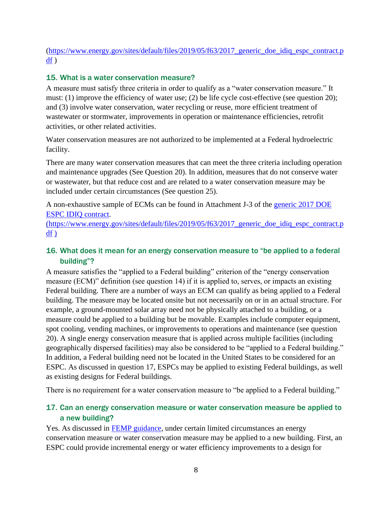#### [\(https://www.energy.gov/sites/default/files/2019/05/f63/2017\\_generic\\_doe\\_idiq\\_espc\\_contract.p](https://www.energy.gov/sites/default/files/2019/05/f63/2017_generic_doe_idiq_espc_contract.pdf)  [df](https://www.energy.gov/sites/default/files/2019/05/f63/2017_generic_doe_idiq_espc_contract.pdf) )

#### 15. What is a water conservation measure?

must: (1) improve the efficiency of water use; (2) be life cycle cost-effective (see question 20); A measure must satisfy three criteria in order to qualify as a "water conservation measure." It and (3) involve water conservation, water recycling or reuse, more efficient treatment of wastewater or stormwater, improvements in operation or maintenance efficiencies, retrofit activities, or other related activities.

Water conservation measures are not authorized to be implemented at a Federal hydroelectric facility.

There are many water conservation measures that can meet the three criteria including operation and maintenance upgrades (See Question 20). In addition, measures that do not conserve water or wastewater, but that reduce cost and are related to a water conservation measure may be included under certain circumstances (See question 25).

A non-exhaustive sample of ECMs can be found in Attachment J-3 of the [generic 2017 DOE](https://www.energy.gov/sites/default/files/2019/05/f63/2017_generic_doe_idiq_espc_contract.pdf)  [ESPC IDIQ contract.](https://www.energy.gov/sites/default/files/2019/05/f63/2017_generic_doe_idiq_espc_contract.pdf)

[\(https://www.energy.gov/sites/default/files/2019/05/f63/2017\\_generic\\_doe\\_idiq\\_espc\\_contract.p](https://www.energy.gov/sites/default/files/2019/05/f63/2017_generic_doe_idiq_espc_contract.pdf)  [df](https://www.energy.gov/sites/default/files/2019/05/f63/2017_generic_doe_idiq_espc_contract.pdf) )

#### 16. What does it mean for an energy conservation measure to "be applied to a federal building"?

A measure satisfies the "applied to a Federal building" criterion of the "energy conservation measure (ECM)" definition (see question 14) if it is applied to, serves, or impacts an existing Federal building. There are a number of ways an ECM can qualify as being applied to a Federal building. The measure may be located onsite but not necessarily on or in an actual structure. For example, a ground-mounted solar array need not be physically attached to a building, or a measure could be applied to a building but be movable. Examples include computer equipment, spot cooling, vending machines, or improvements to operations and maintenance (see question 20). A single energy conservation measure that is applied across multiple facilities (including geographically dispersed facilities) may also be considered to be "applied to a Federal building." In addition, a Federal building need not be located in the United States to be considered for an ESPC. As discussed in question 17, ESPCs may be applied to existing Federal buildings, as well as existing designs for Federal buildings.

There is no requirement for a water conservation measure to "be applied to a Federal building."

#### 17. Can an energy conservation measure or water conservation measure be applied to a new building?

Yes. As discussed in [FEMP guidance,](https://www.energy.gov/sites/prod/files/2013/11/f4/espc_newconguidance.pdf) under certain limited circumstances an energy conservation measure or water conservation measure may be applied to a new building. First, an ESPC could provide incremental energy or water efficiency improvements to a design for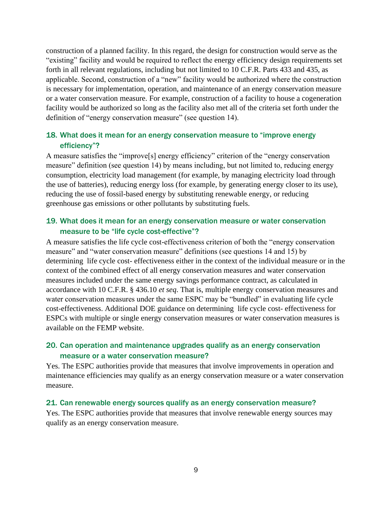construction of a planned facility. In this regard, the design for construction would serve as the "existing" facility and would be required to reflect the energy efficiency design requirements set forth in all relevant regulations, including but not limited to 10 C.F.R. Parts 433 and 435, as applicable. Second, construction of a "new" facility would be authorized where the construction is necessary for implementation, operation, and maintenance of an energy conservation measure or a water conservation measure. For example, construction of a facility to house a cogeneration facility would be authorized so long as the facility also met all of the criteria set forth under the definition of "energy conservation measure" (see question 14).

#### 18. What does it mean for an energy conservation measure to "improve energy efficiency"?

A measure satisfies the "improve[s] energy efficiency" criterion of the "energy conservation measure" definition (see question 14) by means including, but not limited to, reducing energy consumption, electricity load management (for example, by managing electricity load through the use of batteries), reducing energy loss (for example, by generating energy closer to its use), reducing the use of fossil-based energy by substituting renewable energy, or reducing greenhouse gas emissions or other pollutants by substituting fuels.

#### 19. What does it mean for an energy conservation measure or water conservation measure to be "life cycle cost-effective"?

A measure satisfies the life cycle cost-effectiveness criterion of both the "energy conservation measure" and "water conservation measure" definitions (see questions 14 and 15) by determining life cycle cost- effectiveness either in the context of the individual measure or in the context of the combined effect of all energy conservation measures and water conservation measures included under the same energy savings performance contract, as calculated in accordance with 10 C.F.R. § 436.10 *et seq*. That is, multiple energy conservation measures and water conservation measures under the same ESPC may be "bundled" in evaluating life cycle cost-effectiveness. Additional DOE [guidance o](http://www.energy.gov/sites/prod/files/2015/05/f22/ecm_definition_guidance_1.pdf)n determining life cycle cost- effectiveness for ESPCs with multiple or single energy conservation measures or water conservation measures is available on the FEMP website.

#### 20. Can operation and maintenance upgrades qualify as an energy conservation measure or a water conservation measure?

Yes. The ESPC authorities provide that measures that involve improvements in operation and maintenance efficiencies may qualify as an energy conservation measure or a water conservation measure.

#### 21. Can renewable energy sources qualify as an energy conservation measure?

Yes. The ESPC authorities provide that measures that involve renewable energy sources may qualify as an energy conservation measure.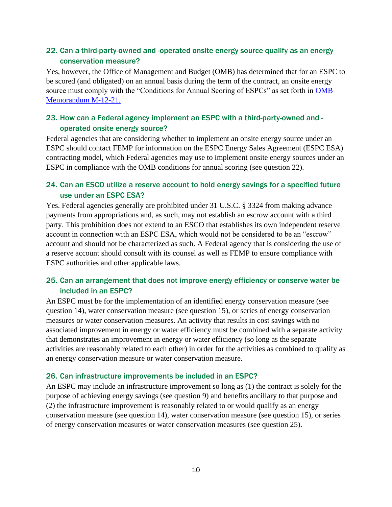#### 22. Can a third-party-owned and -operated onsite energy source qualify as an energy conservation measure?

Yes, however, the Office of Management and Budget (OMB) has determined that for an ESPC to be scored (and obligated) on an annual basis during the term of the contract, an onsite energy source must comply with the "Conditions for Annual Scoring of ESPCs" as set forth in OMB [Memorandum M-12-21.](https://www.whitehouse.gov/sites/whitehouse.gov/files/omb/memoranda/2012/m-12-21.pdf) 

#### 23. How can a Federal agency implement an ESPC with a third-party-owned and operated onsite energy source?

Federal agencies that are considering whether to implement an onsite energy source under an ESPC should contact FEMP for information on the ESPC Energy Sales Agreement (ESPC ESA) contracting model, which Federal agencies may use to implement onsite energy sources under an ESPC in compliance with the OMB conditions for annual scoring (see question 22).

#### 24. Can an ESCO utilize a reserve account to hold energy savings for a specified future use under an ESPC ESA?

Yes. Federal agencies generally are prohibited under 31 U.S.C. § 3324 from making advance payments from appropriations and, as such, may not establish an escrow account with a third party. This prohibition does not extend to an ESCO that establishes its own independent reserve account in connection with an ESPC ESA, which would not be considered to be an "escrow" account and should not be characterized as such. A Federal agency that is considering the use of a reserve account should consult with its counsel as well as FEMP to ensure compliance with ESPC authorities and other applicable laws.

#### 25. Can an arrangement that does not improve energy efficiency or conserve water be included in an ESPC?

An ESPC must be for the implementation of an identified energy conservation measure (see question 14), water conservation measure (see question 15), or series of energy conservation measures or water conservation measures. An activity that results in cost savings with no associated improvement in energy or water efficiency must be combined with a separate activity that demonstrates an improvement in energy or water efficiency (so long as the separate activities are reasonably related to each other) in order for the activities as combined to qualify as an energy conservation measure or water conservation measure.

#### 26. Can infrastructure improvements be included in an ESPC?

An ESPC may include an infrastructure improvement so long as (1) the contract is solely for the purpose of achieving energy savings (see question 9) and benefits ancillary to that purpose and (2) the infrastructure improvement is reasonably related to or would qualify as an energy conservation measure (see question 14), water conservation measure (see question 15), or series of energy conservation measures or water conservation measures (see question 25).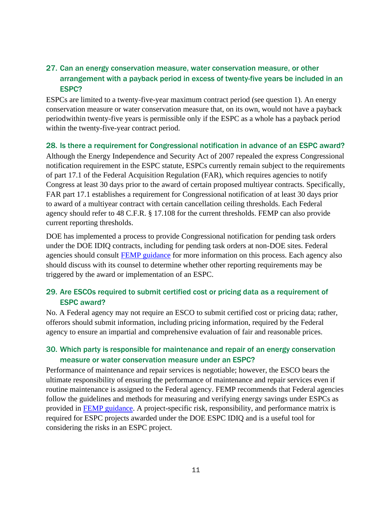#### 27. Can an energy conservation measure, water conservation measure, or other arrangement with a payback period in excess of twenty-five years be included in an ESPC?

ESPCs are limited to a twenty-five-year maximum contract period (see question 1). An energy conservation measure or water conservation measure that, on its own, would not have a payback periodwithin twenty-five years is permissible only if the ESPC as a whole has a payback period within the twenty-five-year contract period.

#### 28. Is there a requirement for Congressional notification in advance of an ESPC award?

Although the Energy Independence and Security Act of 2007 repealed the express Congressional notification requirement in the ESPC statute, ESPCs currently remain subject to the requirements of part 17.1 of the Federal Acquisition Regulation (FAR), which requires agencies to notify Congress at least 30 days prior to the award of certain proposed multiyear contracts. Specifically, FAR part 17.1 establishes a requirement for Congressional notification of at least 30 days prior to award of a multiyear contract with certain cancellation ceiling thresholds. Each Federal agency should refer to 48 C.F.R. § 17.108 for the current thresholds. FEMP can also provide current reporting thresholds.

DOE has implemented a process to provide Congressional notification for pending task orders under the DOE IDIQ contracts, including for pending task orders at non-DOE sites. Federal agencies should consult **FEMP** guidance for more information on this process. Each agency also should discuss with its counsel to determine whether other reporting requirements may be triggered by the award or implementation of an ESPC.

#### 29. Are ESCOs required to submit certified cost or pricing data as a requirement of ESPC award?

No. A Federal agency may not require an ESCO to submit certified cost or pricing data; rather, offerors should submit information, including pricing information, required by the Federal agency to ensure an impartial and comprehensive evaluation of fair and reasonable prices.

#### 30. Which party is responsible for maintenance and repair of an energy conservation measure or water conservation measure under an ESPC?

Performance of maintenance and repair services is negotiable; however, the ESCO bears the ultimate responsibility of ensuring the performance of maintenance and repair services even if routine maintenance is assigned to the Federal agency. FEMP recommends that Federal agencies follow the guidelines and methods for measuring and verifying energy savings under ESPCs as provided in [FEMP guidance.](https://www.energy.gov/sites/default/files/2018/03/f49/om_savings_guidance.pdf) A project-specific risk, responsibility, and performance matrix is required for ESPC projects awarded under the DOE ESPC IDIQ and is a useful tool for considering the risks in an ESPC project.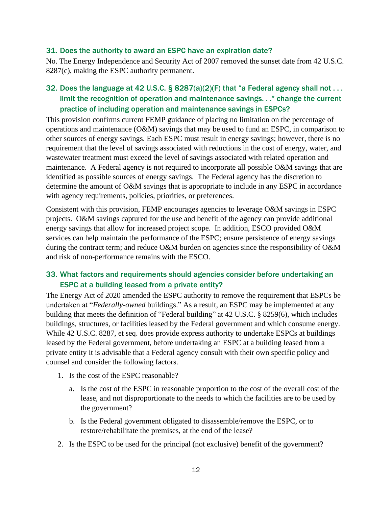#### 31. Does the authority to award an ESPC have an expiration date?

No. The Energy Independence and Security Act of 2007 removed the sunset date from 42 U.S.C. 8287(c), making the ESPC authority permanent.

#### 32. Does the language at 42 U.S.C. § 8287(a)(2)(F) that "a Federal agency shall not . . . limit the recognition of operation and maintenance savings. . ." change the current practice of including operation and maintenance savings in ESPCs?

This provision confirms current FEMP guidance of placing no limitation on the percentage of operations and maintenance (O&M) savings that may be used to fund an ESPC, in comparison to other sources of energy savings. Each ESPC must result in energy savings; however, there is no requirement that the level of savings associated with reductions in the cost of energy, water, and wastewater treatment must exceed the level of savings associated with related operation and maintenance. A Federal agency is not required to incorporate all possible O&M savings that are identified as possible sources of energy savings. The Federal agency has the discretion to determine the amount of O&M savings that is appropriate to include in any ESPC in accordance with agency requirements, policies, priorities, or preferences.

Consistent with this provision, FEMP encourages agencies to leverage O&M savings in ESPC projects. O&M savings captured for the use and benefit of the agency can provide additional energy savings that allow for increased project scope. In addition, ESCO provided O&M services can help maintain the performance of the ESPC; ensure persistence of energy savings during the contract term; and reduce O&M burden on agencies since the responsibility of O&M and risk of non-performance remains with the ESCO.

#### 33. What factors and requirements should agencies consider before undertaking an ESPC at a building leased from a private entity?

The Energy Act of 2020 amended the ESPC authority to remove the requirement that ESPCs be undertaken at "*Federally-owned* buildings." As a result, an ESPC may be implemented at any building that meets the definition of "Federal building" at 42 U.S.C. § 8259(6), which includes buildings, structures, or facilities leased by the Federal government and which consume energy. While 42 U.S.C. 8287, et seq. does provide express authority to undertake ESPCs at buildings leased by the Federal government, before undertaking an ESPC at a building leased from a private entity it is advisable that a Federal agency consult with their own specific policy and counsel and consider the following factors.

- 1. Is the cost of the ESPC reasonable?
	- a. Is the cost of the ESPC in reasonable proportion to the cost of the overall cost of the lease, and not disproportionate to the needs to which the facilities are to be used by the government?
	- b. Is the Federal government obligated to disassemble/remove the ESPC, or to restore/rehabilitate the premises, at the end of the lease?
- 2. Is the ESPC to be used for the principal (not exclusive) benefit of the government?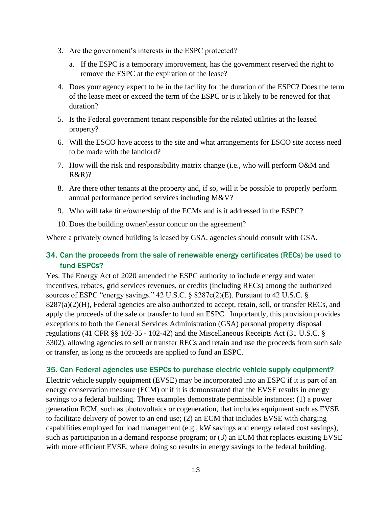- 3. Are the government's interests in the ESPC protected?
	- a. If the ESPC is a temporary improvement, has the government reserved the right to remove the ESPC at the expiration of the lease?
- 4. Does your agency expect to be in the facility for the duration of the ESPC? Does the term of the lease meet or exceed the term of the ESPC or is it likely to be renewed for that duration?
- 5. Is the Federal government tenant responsible for the related utilities at the leased property?
- 6. Will the ESCO have access to the site and what arrangements for ESCO site access need to be made with the landlord?
- 7. How will the risk and responsibility matrix change (i.e., who will perform O&M and R&R)?
- 8. Are there other tenants at the property and, if so, will it be possible to properly perform annual performance period services including M&V?
- 9. Who will take title/ownership of the ECMs and is it addressed in the ESPC?
- 10. Does the building owner/lessor concur on the agreement?

Where a privately owned building is leased by GSA, agencies should consult with GSA.

#### 34. Can the proceeds from the sale of renewable energy certificates (RECs) be used to fund ESPCs?

Yes. The Energy Act of 2020 amended the ESPC authority to include energy and water incentives, rebates, grid services revenues, or credits (including RECs) among the authorized sources of ESPC "energy savings." 42 U.S.C. § 8287c(2)(E). Pursuant to 42 U.S.C. §  $8287(a)(2)(H)$ , Federal agencies are also authorized to accept, retain, sell, or transfer RECs, and apply the proceeds of the sale or transfer to fund an ESPC. Importantly, this provision provides exceptions to both the General Services Administration (GSA) personal property disposal regulations (41 CFR §§ 102-35 - 102-42) and the Miscellaneous Receipts Act (31 U.S.C. § 3302), allowing agencies to sell or transfer RECs and retain and use the proceeds from such sale or transfer, as long as the proceeds are applied to fund an ESPC.

#### 35. Can Federal agencies use ESPCs to purchase electric vehicle supply equipment?

Electric vehicle supply equipment (EVSE) may be incorporated into an ESPC if it is part of an energy conservation measure (ECM) or if it is demonstrated that the EVSE results in energy savings to a federal building. Three examples demonstrate permissible instances: (1) a power generation ECM, such as photovoltaics or cogeneration, that includes equipment such as EVSE to facilitate delivery of power to an end use; (2) an ECM that includes EVSE with charging capabilities employed for load management (e.g., kW savings and energy related cost savings), such as participation in a demand response program; or (3) an ECM that replaces existing EVSE with more efficient EVSE, where doing so results in energy savings to the federal building.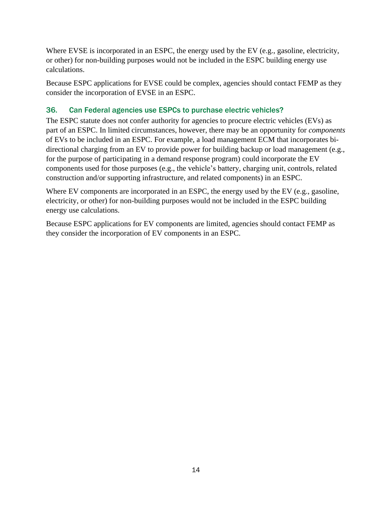calculations. Where EVSE is incorporated in an ESPC, the energy used by the EV (e.g., gasoline, electricity, or other) for non-building purposes would not be included in the ESPC building energy use

Because ESPC applications for EVSE could be complex, agencies should contact FEMP as they consider the incorporation of EVSE in an ESPC.

#### 36. Can Federal agencies use ESPCs to purchase electric vehicles?

The ESPC statute does not confer authority for agencies to procure electric vehicles (EVs) as part of an ESPC. In limited circumstances, however, there may be an opportunity for *components*  of EVs to be included in an ESPC. For example, a load management ECM that incorporates bidirectional charging from an EV to provide power for building backup or load management (e.g., for the purpose of participating in a demand response program) could incorporate the EV components used for those purposes (e.g., the vehicle's battery, charging unit, controls, related construction and/or supporting infrastructure, and related components) in an ESPC.

Where EV components are incorporated in an ESPC, the energy used by the EV (e.g., gasoline, electricity, or other) for non-building purposes would not be included in the ESPC building energy use calculations.

Because ESPC applications for EV components are limited, agencies should contact FEMP as they consider the incorporation of EV components in an ESPC.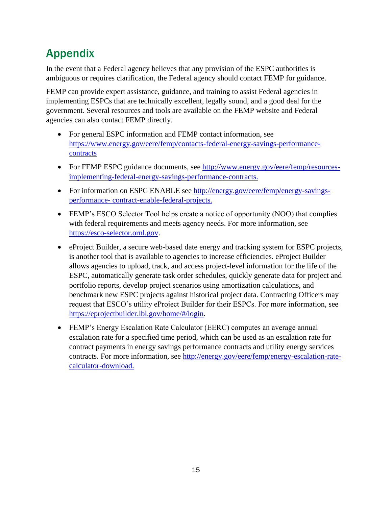## Appendix

In the event that a Federal agency believes that any provision of the ESPC authorities is ambiguous or requires clarification, the Federal agency should contact FEMP for guidance.

FEMP can provide expert assistance, guidance, and training to assist Federal agencies in implementing ESPCs that are technically excellent, legally sound, and a good deal for the government. Several resources and tools are available on the FEMP website and Federal agencies can also contact FEMP directly.

- For general ESPC information and FEMP contact information, see [https://www.energy.gov/eere/femp/contacts-federal-energy-savings-performance](https://www.energy.gov/eere/femp/contacts-federal-energy-savings-performance-contracts)[contracts](https://www.energy.gov/eere/femp/contacts-federal-energy-savings-performance-contracts)
- For FEMP ESPC guidance documents, see [http://www.energy.gov/eere/femp/resources](http://www.energy.gov/eere/femp/resources-implementing-federal-energy-savings-performance-contracts)[implementing-federal-energy-savings-performance-contracts.](http://www.energy.gov/eere/femp/resources-implementing-federal-energy-savings-performance-contracts)
- For information on ESPC ENABLE see [http://energy.gov/eere/femp/energy-savings](http://energy.gov/eere/femp/energy-savings-performance-contract-enable-federal-projects)[performance-](http://energy.gov/eere/femp/energy-savings-performance-contract-enable-federal-projects) [contract-enable-federal-projects.](http://energy.gov/eere/femp/energy-savings-performance-contract-enable-federal-projects)
- FEMP's ESCO Selector Tool helps create a notice of opportunity (NOO) that complies with federal requirements and meets agency needs. For more information, see [https://esco-selector.ornl.gov.](https://esco-selector.ornl.gov/)
- eProject Builder, a secure web-based date energy and tracking system for ESPC projects, is another tool that is available to agencies to increase efficiencies. eProject Builder allows agencies to upload, track, and access project-level information for the life of the ESPC, automatically generate task order schedules, quickly generate data for project and portfolio reports, develop project scenarios using amortization calculations, and benchmark new ESPC projects against historical project data. Contracting Officers may request that ESCO's utility eProject Builder for their ESPCs. For more information, see [https://eprojectbuilder.lbl.gov/home/#/login.](https://eprojectbuilder.lbl.gov/home/%23/login)
- FEMP's Energy Escalation Rate Calculator (EERC) computes an average annual escalation rate for a specified time period, which can be used as an escalation rate for contract payments in energy savings performance contracts and utility energy services contracts. For more information, see [http://energy.gov/eere/femp/energy-escalation-rate](http://energy.gov/eere/femp/energy-escalation-rate-calculator-download)[calculator-download.](http://energy.gov/eere/femp/energy-escalation-rate-calculator-download)